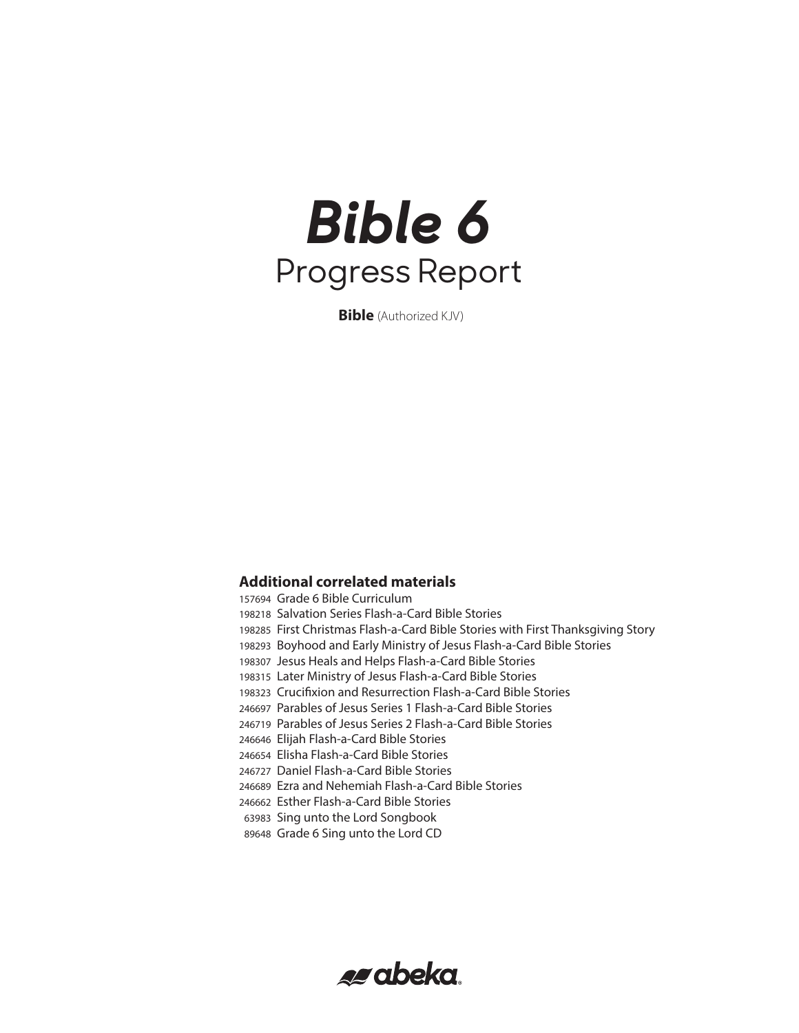# *Bible 6* Progress Report

**Bible** (Authorized KJV)

### **Additional correlated materials**

 Grade 6 Bible Curriculum Salvation Series Flash-a-Card Bible Stories First Christmas Flash-a-Card Bible Stories with First Thanksgiving Story Boyhood and Early Ministry of Jesus Flash-a-Card Bible Stories Jesus Heals and Helps Flash-a-Card Bible Stories Later Ministry of Jesus Flash-a-Card Bible Stories Crucifixion and Resurrection Flash-a-Card Bible Stories Parables of Jesus Series 1 Flash-a-Card Bible Stories Parables of Jesus Series 2 Flash-a-Card Bible Stories Elijah Flash-a-Card Bible Stories Elisha Flash-a-Card Bible Stories Daniel Flash-a-Card Bible Stories Ezra and Nehemiah Flash-a-Card Bible Stories Esther Flash-a-Card Bible Stories Sing unto the Lord Songbook Grade 6 Sing unto the Lord CD